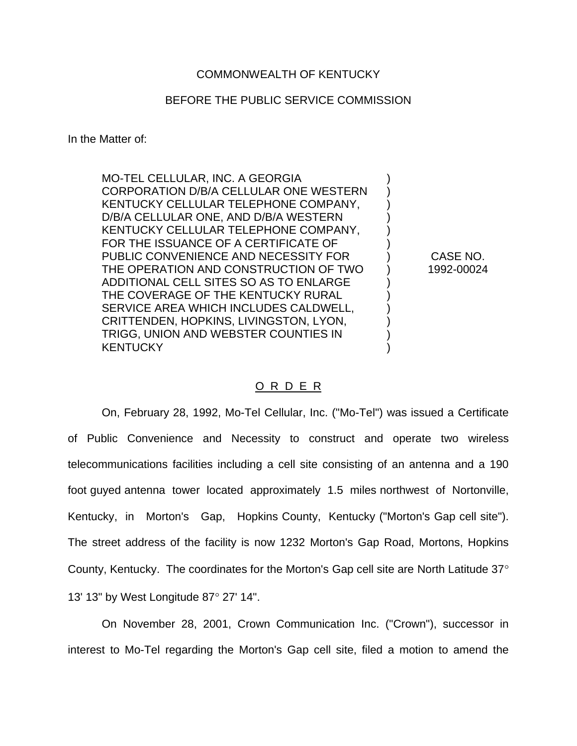## COMMONWEALTH OF KENTUCKY

## BEFORE THE PUBLIC SERVICE COMMISSION

In the Matter of:

MO-TEL CELLULAR, INC. A GEORGIA CORPORATION D/B/A CELLULAR ONE WESTERN KENTUCKY CELLULAR TELEPHONE COMPANY, D/B/A CELLULAR ONE, AND D/B/A WESTERN KENTUCKY CELLULAR TELEPHONE COMPANY, FOR THE ISSUANCE OF A CERTIFICATE OF PUBLIC CONVENIENCE AND NECESSITY FOR THE OPERATION AND CONSTRUCTION OF TWO ADDITIONAL CELL SITES SO AS TO ENLARGE THE COVERAGE OF THE KENTUCKY RURAL SERVICE AREA WHICH INCLUDES CALDWELL, CRITTENDEN, HOPKINS, LIVINGSTON, LYON, TRIGG, UNION AND WEBSTER COUNTIES IN **KENTUCKY** 

CASE NO. 1992-00024

) ) ) ) ) ) ) ) ) ) ) ) ) )

## O R D E R

On, February 28, 1992, Mo-Tel Cellular, Inc. ("Mo-Tel") was issued a Certificate of Public Convenience and Necessity to construct and operate two wireless telecommunications facilities including a cell site consisting of an antenna and a 190 foot guyed antenna tower located approximately 1.5 miles northwest of Nortonville, Kentucky, in Morton's Gap, Hopkins County, Kentucky ("Morton's Gap cell site"). The street address of the facility is now 1232 Morton's Gap Road, Mortons, Hopkins County, Kentucky. The coordinates for the Morton's Gap cell site are North Latitude 37∞ 13' 13" by West Longitude 87∞ 27' 14".

On November 28, 2001, Crown Communication Inc. ("Crown"), successor in interest to Mo-Tel regarding the Morton's Gap cell site, filed a motion to amend the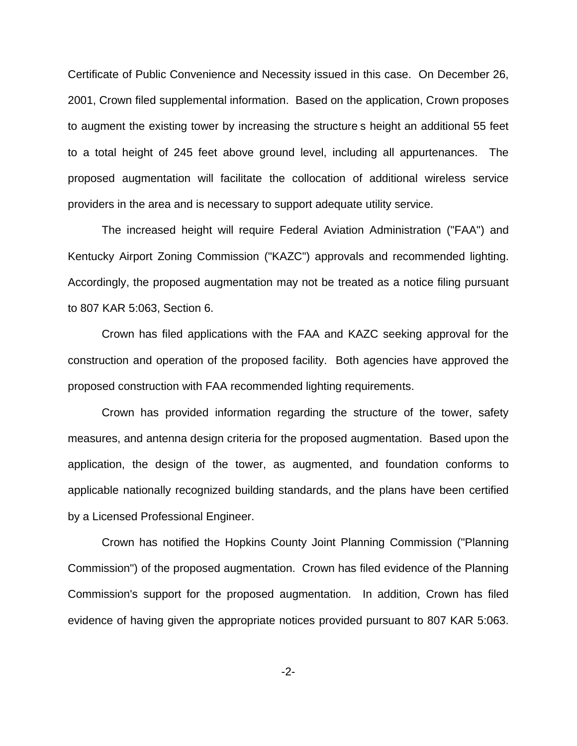Certificate of Public Convenience and Necessity issued in this case. On December 26, 2001, Crown filed supplemental information. Based on the application, Crown proposes to augment the existing tower by increasing the structure s height an additional 55 feet to a total height of 245 feet above ground level, including all appurtenances. The proposed augmentation will facilitate the collocation of additional wireless service providers in the area and is necessary to support adequate utility service.

The increased height will require Federal Aviation Administration ("FAA") and Kentucky Airport Zoning Commission ("KAZC") approvals and recommended lighting. Accordingly, the proposed augmentation may not be treated as a notice filing pursuant to 807 KAR 5:063, Section 6.

Crown has filed applications with the FAA and KAZC seeking approval for the construction and operation of the proposed facility. Both agencies have approved the proposed construction with FAA recommended lighting requirements.

Crown has provided information regarding the structure of the tower, safety measures, and antenna design criteria for the proposed augmentation. Based upon the application, the design of the tower, as augmented, and foundation conforms to applicable nationally recognized building standards, and the plans have been certified by a Licensed Professional Engineer.

Crown has notified the Hopkins County Joint Planning Commission ("Planning Commission") of the proposed augmentation. Crown has filed evidence of the Planning Commission's support for the proposed augmentation. In addition, Crown has filed evidence of having given the appropriate notices provided pursuant to 807 KAR 5:063.

-2-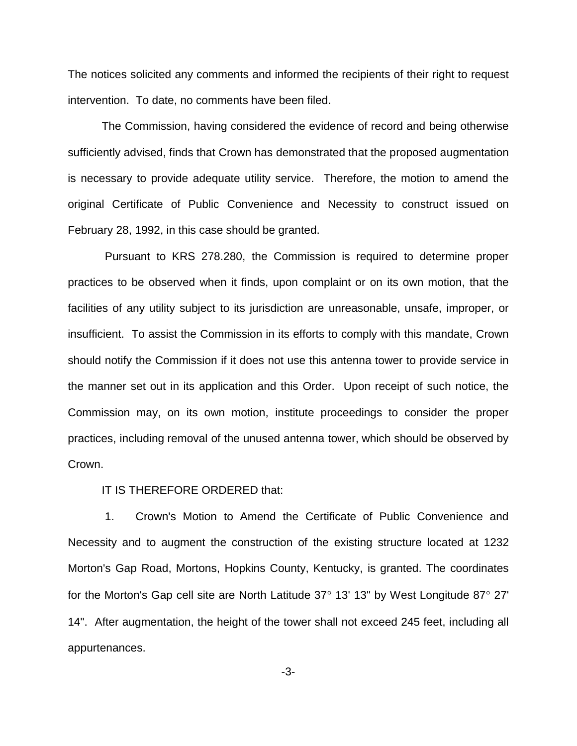The notices solicited any comments and informed the recipients of their right to request intervention. To date, no comments have been filed.

The Commission, having considered the evidence of record and being otherwise sufficiently advised, finds that Crown has demonstrated that the proposed augmentation is necessary to provide adequate utility service. Therefore, the motion to amend the original Certificate of Public Convenience and Necessity to construct issued on February 28, 1992, in this case should be granted.

Pursuant to KRS 278.280, the Commission is required to determine proper practices to be observed when it finds, upon complaint or on its own motion, that the facilities of any utility subject to its jurisdiction are unreasonable, unsafe, improper, or insufficient. To assist the Commission in its efforts to comply with this mandate, Crown should notify the Commission if it does not use this antenna tower to provide service in the manner set out in its application and this Order. Upon receipt of such notice, the Commission may, on its own motion, institute proceedings to consider the proper practices, including removal of the unused antenna tower, which should be observed by Crown.

## IT IS THEREFORE ORDERED that:

1. Crown's Motion to Amend the Certificate of Public Convenience and Necessity and to augment the construction of the existing structure located at 1232 Morton's Gap Road, Mortons, Hopkins County, Kentucky, is granted. The coordinates for the Morton's Gap cell site are North Latitude 37∞ 13' 13" by West Longitude 87∞ 27' 14". After augmentation, the height of the tower shall not exceed 245 feet, including all appurtenances.

-3-